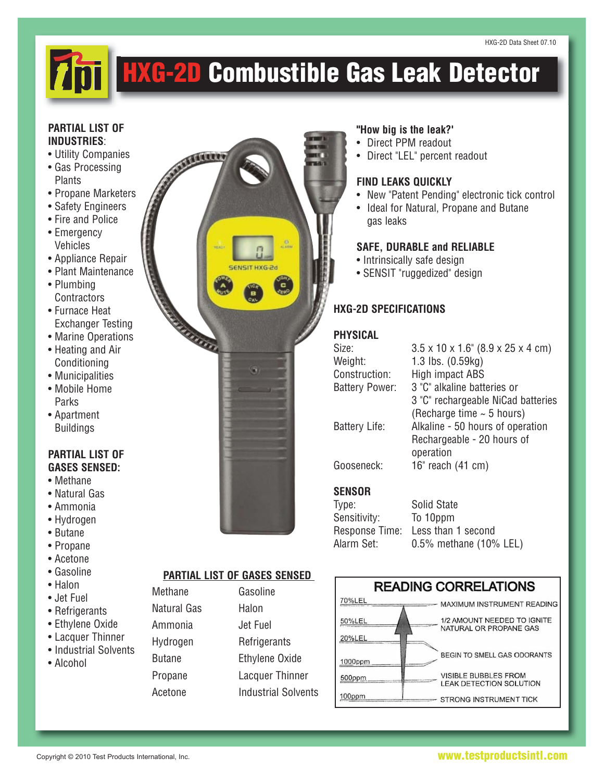# **HXG-2D Combustible Gas Leak Detector**

#### **PARTIAL LIST OF INDUSTRlES**:

- Utility Companies
- Gas Processing **Plants**
- Propane Marketers
- Safety Engineers
- Fire and Police
- Emergency Vehicles
- Appliance Repair
- Plant Maintenance
- Plumbing **Contractors**
- Furnace Heat Exchanger Testing
- Marine Operations
- Heating and Air Conditioning
- Municipalities
- Mobile Home Parks
- Apartment Buildings

# **PARTIAL LIST OF GASES SENSED:**

- Methane
- Natural Gas
- Ammonia
- Hydrogen
- Butane
- Propane
- Acetone
- Gasoline
- Halon
- Jet Fuel
- Refrigerants
- Ethylene Oxide
- Lacquer Thinner
- Industrial Solvents
- Alcohol



# **PARTIAL LIST OF GASES SENSED**

Methane Natural Gas Ammonia Hydrogen Butane Propane Acetone

| Gasoline                   |
|----------------------------|
| Halon                      |
| Jet Fuel                   |
| Refrigerants               |
| <b>Ethylene Oxide</b>      |
| Lacquer Thinner            |
| <b>Industrial Solvents</b> |
|                            |

#### **"How big is the leak?'**

- Direct PPM readout
- Direct "LEL" percent readout

### **FIND LEAKS QUICKLY**

- New "Patent Pending" electronic tick control
- Ideal for Natural, Propane and Butane gas leaks

# **SAFE, DURABLE and RELIABLE**

- Intrinsically safe design
- SENSIT "ruggedized" design

# **HXG-2D SPECIFICATIONS**

# **PHYSICAL**

| Size:                 | $3.5 \times 10 \times 1.6$ " (8.9 x 25 x 4 cm) |
|-----------------------|------------------------------------------------|
| Weight:               | 1.3 lbs. (0.59kg)                              |
| Construction:         | High impact ABS                                |
| <b>Battery Power:</b> | 3 "C" alkaline batteries or                    |
|                       | 3 "C" rechargeable NiCad batteries             |
|                       | (Recharge time $\sim$ 5 hours)                 |
| <b>Battery Life:</b>  | Alkaline - 50 hours of operation               |
|                       | Rechargeable - 20 hours of                     |
|                       | operation                                      |
| Gooseneck:            | 16" reach (41 cm)                              |
| <b>SENSOR</b>         |                                                |
| Type:                 | Solid State                                    |
| Sensitivity:          | To 10ppm                                       |

Response Time: Less than 1 second Alarm Set: 0.5% methane (10% LEL)